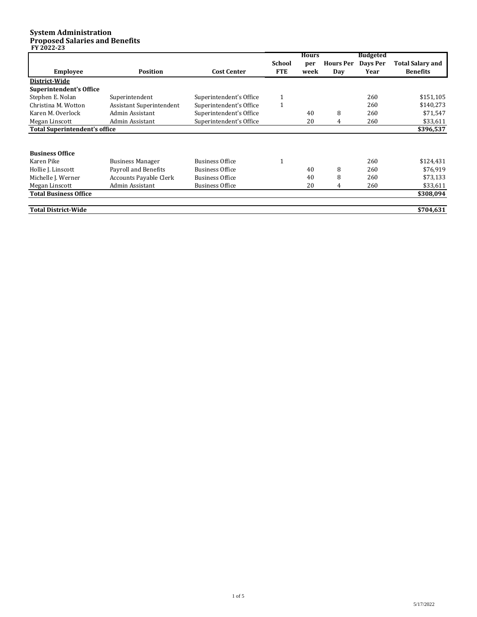## **System Administration Proposed Salaries and Benefits FY 2022-23**

| II LULL-LJ                           |                                 |                         |                             | <b>Hours</b> |                         | <b>Budgeted</b>  |                                            |
|--------------------------------------|---------------------------------|-------------------------|-----------------------------|--------------|-------------------------|------------------|--------------------------------------------|
| <b>Employee</b>                      | <b>Position</b>                 | <b>Cost Center</b>      | <b>School</b><br><b>FTE</b> | per<br>week  | <b>Hours Per</b><br>Day | Days Per<br>Year | <b>Total Salary and</b><br><b>Benefits</b> |
| District-Wide                        |                                 |                         |                             |              |                         |                  |                                            |
| <b>Superintendent's Office</b>       |                                 |                         |                             |              |                         |                  |                                            |
| Stephen E. Nolan                     | Superintendent                  | Superintendent's Office |                             |              |                         | 260              | \$151,105                                  |
| Christina M. Wotton                  | <b>Assistant Superintendent</b> | Superintendent's Office | $\mathbf{1}$                |              |                         | 260              | \$140,273                                  |
| Karen M. Overlock                    | Admin Assistant                 | Superintendent's Office |                             | 40           | 8                       | 260              | \$71,547                                   |
| Megan Linscott                       | Admin Assistant                 | Superintendent's Office |                             | 20           | 4                       | 260              | \$33,611                                   |
| <b>Total Superintendent's office</b> |                                 |                         |                             |              |                         |                  | \$396,537                                  |
|                                      |                                 |                         |                             |              |                         |                  |                                            |
| <b>Business Office</b>               |                                 |                         |                             |              |                         |                  |                                            |
| Karen Pike                           | <b>Business Manager</b>         | <b>Business Office</b>  |                             |              |                         | 260              | \$124,431                                  |
| Hollie J. Linscott                   | Payroll and Benefits            | <b>Business Office</b>  |                             | 40           | 8                       | 260              | \$76,919                                   |
| Michelle J. Werner                   | <b>Accounts Payable Clerk</b>   | <b>Business Office</b>  |                             | 40           | 8                       | 260              | \$73,133                                   |
| Megan Linscott                       | Admin Assistant                 | <b>Business Office</b>  |                             | 20           | 4                       | 260              | \$33,611                                   |
| <b>Total Business Office</b>         |                                 |                         |                             |              |                         |                  | \$308,094                                  |
| <b>Total District-Wide</b>           |                                 |                         |                             |              |                         |                  | \$704,631                                  |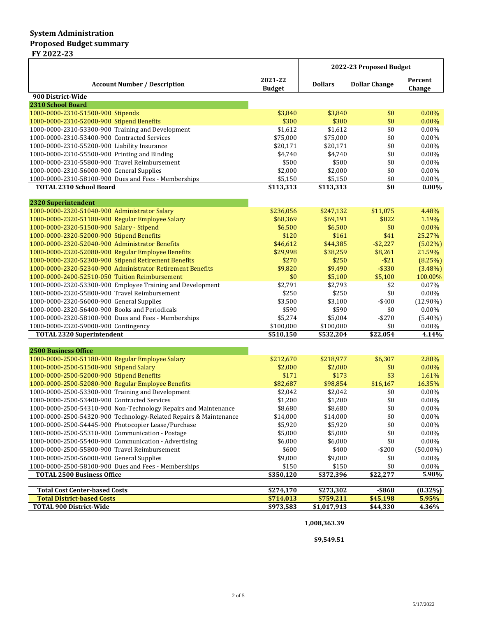|                                                                                |                          | 2022-23 Proposed Budget |                      |                      |
|--------------------------------------------------------------------------------|--------------------------|-------------------------|----------------------|----------------------|
| <b>Account Number / Description</b>                                            | 2021-22<br><b>Budget</b> | <b>Dollars</b>          | <b>Dollar Change</b> | Percent<br>Change    |
| 900 District-Wide                                                              |                          |                         |                      |                      |
| 2310 School Board                                                              |                          |                         |                      |                      |
| 1000-0000-2310-51500-900 Stipends<br>1000-0000-2310-52000-900 Stipend Benefits | \$3,840<br>\$300         | \$3,840<br>\$300        | \$0<br>\$0           | $0.00\%$<br>$0.00\%$ |
| 1000-0000-2310-53300-900 Training and Development                              | \$1,612                  | \$1,612                 | \$0                  | 0.00%                |
| 1000-0000-2310-53400-900 Contracted Services                                   | \$75,000                 | \$75,000                | \$0                  | 0.00%                |
| 1000-0000-2310-55200-900 Liability Insurance                                   | \$20,171                 | \$20,171                | \$0                  | 0.00%                |
| 1000-0000-2310-55500-900 Printing and Binding                                  | \$4,740                  | \$4,740                 | \$0                  | $0.00\%$             |
| 1000-0000-2310-55800-900 Travel Reimbursement                                  | \$500                    | \$500                   | \$0                  | 0.00%                |
| 1000-0000-2310-56000-900 General Supplies                                      | \$2,000                  | \$2,000                 | \$0                  | 0.00%                |
| 1000-0000-2310-58100-900 Dues and Fees - Memberships                           | \$5,150                  | \$5,150                 | \$0                  | 0.00%                |
| <b>TOTAL 2310 School Board</b>                                                 | \$113,313                | $\overline{$113,313}$   | \$0                  | $0.00\%$             |
|                                                                                |                          |                         |                      |                      |
| 2320 Superintendent                                                            |                          |                         |                      |                      |
| 1000-0000-2320-51040-900 Administrator Salary                                  | \$236,056                | \$247,132               | \$11,075             | 4.48%                |
| 1000-0000-2320-51180-900 Regular Employee Salary                               | \$68,369                 | \$69,191                | \$822                | 1.19%                |
| 1000-0000-2320-51500-900 Salary - Stipend                                      | \$6,500                  | \$6,500                 | \$0                  | 0.00%                |
| 1000-0000-2320-52000-900 Stipend Benefits                                      | \$120                    | \$161                   | \$41                 | 25.27%               |
| 1000-0000-2320-52040-900 Administrator Benefits                                | \$46,612                 | \$44,385                | $-$ \$2,227          | $(5.02\%)$           |
| 1000-0000-2320-52080-900 Regular Employee Benefits                             | \$29,998                 | \$38,259                | \$8,261              | 21.59%               |
| 1000-0000-2320-52300-900 Stipend Retirement Benefits                           | \$270                    | \$250                   | $-$ \$21             | (8.25%)              |
| 1000-0000-2320-52340-900 Administrator Retirement Benefits                     | \$9,820                  | \$9,490                 | $-$ \$330            | $(3.48\%)$           |
| 1000-0000-2400-52510-050 Tuition Reimbursement                                 | \$0                      | \$5,100                 | \$5,100              | 100.00%              |
| 1000-0000-2320-53300-900 Employee Training and Development                     | \$2,791                  | \$2,793                 | \$2                  | 0.07%                |
| 1000-0000-2320-55800-900 Travel Reimbursement                                  | \$250                    | \$250                   | \$0                  | $0.00\%$             |
| 1000-0000-2320-56000-900 General Supplies                                      | \$3,500                  | \$3,100                 | -\$400               | $(12.90\%)$          |
| 1000-0000-2320-56400-900 Books and Periodicals                                 | \$590                    | \$590                   | \$0                  | 0.00%                |
| 1000-0000-2320-58100-900 Dues and Fees - Memberships                           | \$5,274                  | \$5,004                 | $-$ \$270            | $(5.40\%)$           |
| 1000-0000-2320-59000-900 Contingency                                           | \$100,000                | \$100,000               | \$0                  | $0.00\%$             |
| <b>TOTAL 2320 Superintendent</b>                                               | \$510,150                | \$532,204               | \$22,054             | 4.14%                |
| <b>2500 Business Office</b>                                                    |                          |                         |                      |                      |
| 1000-0000-2500-51180-900 Regular Employee Salary                               | \$212,670                | \$218,977               | \$6,307              | 2.88%                |
| 1000-0000-2500-51500-900 Stipend Salary                                        | \$2,000                  | \$2,000                 | \$0                  | 0.00%                |
| 1000-0000-2500-52000-900 Stipend Benefits                                      | \$171                    | \$173                   | \$3                  | 1.61%                |
| 1000-0000-2500-52080-900 Regular Employee Benefits                             | \$82,687                 | \$98,854                | \$16,167             | 16.35%               |
| 1000-0000-2500-53300-900 Training and Development                              | \$2,042                  | \$2,042                 | \$0                  | 0.00%                |
| 1000-0000-2500-53400-900 Contracted Services                                   | \$1,200                  | \$1,200                 | \$0                  | 0.00%                |
| 1000-0000-2500-54310-900 Non-Technology Repairs and Maintenance                | \$8,680                  | \$8,680                 | $\$0$                | $0.00\%$             |
| 1000-0000-2500-54320-900 Technology-Related Repairs & Maintenance              | \$14,000                 | \$14,000                | \$0                  | 0.00%                |
| 1000-0000-2500-54445-900 Photocopier Lease/Purchase                            | \$5,920                  | \$5,920                 | \$0                  | 0.00%                |
| 1000-0000-2500-55310-900 Communication - Postage                               | \$5,000                  | \$5,000                 | \$0                  | $0.00\%$             |
| 1000-0000-2500-55400-900 Communication - Advertising                           | \$6,000                  | \$6,000                 | \$0                  | 0.00%                |
| 1000-0000-2500-55800-900 Travel Reimbursement                                  | \$600                    | \$400                   | $-$200$              | $(50.00\%)$          |
| 1000-0000-2500-56000-900 General Supplies                                      | \$9,000                  | \$9,000                 | \$0                  | 0.00%                |
| 1000-0000-2500-58100-900 Dues and Fees - Memberships                           | \$150                    | \$150                   | \$0                  | $0.00\%$             |
| <b>TOTAL 2500 Business Office</b>                                              | $\overline{$350,120}$    | \$372,396               | \$22,277             | 5.98%                |
|                                                                                |                          |                         |                      |                      |
| <b>Total Cost Center-based Costs</b><br><b>Total District-based Costs</b>      | \$274,170<br>\$714,013   | \$273,302<br>\$759,211  | $-$ \$868            | $(0.32\%)$           |
| <b>TOTAL 900 District-Wide</b>                                                 | \$973,583                | \$1,017,913             | \$45,198<br>\$44,330 | 5.95%<br>4.36%       |
|                                                                                |                          |                         |                      |                      |

**1,008,363.39**

**\$9,549.51**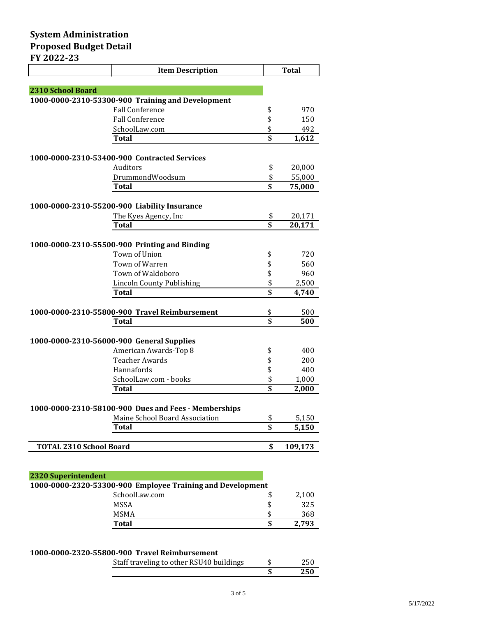|                                | <b>Item Description</b>                              |                         | <b>Total</b> |
|--------------------------------|------------------------------------------------------|-------------------------|--------------|
|                                |                                                      |                         |              |
| 2310 School Board              |                                                      |                         |              |
|                                | 1000-0000-2310-53300-900 Training and Development    |                         |              |
|                                | <b>Fall Conference</b>                               | \$                      | 970          |
|                                | <b>Fall Conference</b>                               | \$                      | 150          |
|                                | SchoolLaw.com                                        | \$                      | 492          |
|                                | Total                                                | $\overline{\mathbf{s}}$ | 1,612        |
|                                |                                                      |                         |              |
|                                | 1000-0000-2310-53400-900 Contracted Services         |                         |              |
|                                | <b>Auditors</b>                                      | \$                      | 20,000       |
|                                | DrummondWoodsum                                      | \$                      | 55,000       |
|                                | Total                                                | $\overline{\mathbf{s}}$ | 75,000       |
|                                | 1000-0000-2310-55200-900 Liability Insurance         |                         |              |
|                                | The Kyes Agency, Inc                                 | \$                      | 20,171       |
|                                | Total                                                | \$                      | 20,171       |
|                                |                                                      |                         |              |
|                                | 1000-0000-2310-55500-900 Printing and Binding        |                         |              |
|                                | Town of Union                                        | \$                      | 720          |
|                                | Town of Warren                                       | \$                      | 560          |
|                                | Town of Waldoboro                                    | \$                      | 960          |
|                                | <b>Lincoln County Publishing</b>                     | \$                      | 2,500        |
|                                | <b>Total</b>                                         | $\overline{\mathbf{s}}$ | 4,740        |
|                                | 1000-0000-2310-55800-900 Travel Reimbursement        | \$                      | 500          |
|                                | <b>Total</b>                                         | $\overline{\mathbf{s}}$ | 500          |
|                                |                                                      |                         |              |
|                                | 1000-0000-2310-56000-900 General Supplies            |                         |              |
|                                | American Awards-Top 8                                | \$                      | 400          |
|                                | <b>Teacher Awards</b>                                | \$                      | 200          |
|                                | Hannafords                                           | \$                      | 400          |
|                                | SchoolLaw.com - books                                | \$                      | 1,000        |
|                                | <b>Total</b>                                         | $\overline{\mathbf{s}}$ | 2,000        |
|                                | 1000-0000-2310-58100-900 Dues and Fees - Memberships |                         |              |
|                                | Maine School Board Association                       | \$                      | 5,150        |
|                                | Total                                                | $\overline{\mathbf{s}}$ | 5,150        |
|                                |                                                      |                         |              |
| <b>TOTAL 2310 School Board</b> |                                                      | \$                      | 109,173      |
|                                |                                                      |                         |              |
|                                |                                                      |                         |              |
| <b>2320 Superintendent</b>     |                                                      |                         |              |

| 4540 Supermiendent                                         |    |       |
|------------------------------------------------------------|----|-------|
| 1000-0000-2320-53300-900 Employee Training and Development |    |       |
| SchoolLaw.com                                              |    | 2,100 |
| MSSA                                                       |    | 325   |
| <b>MSMA</b>                                                | £. | 368   |
| <b>Total</b>                                               |    | 2.793 |

## **1000-0000-2320-55800-900 Travel Reimbursement**

| Staff traveling to other RSU40 buildings | 250 |
|------------------------------------------|-----|
|                                          | 250 |
|                                          |     |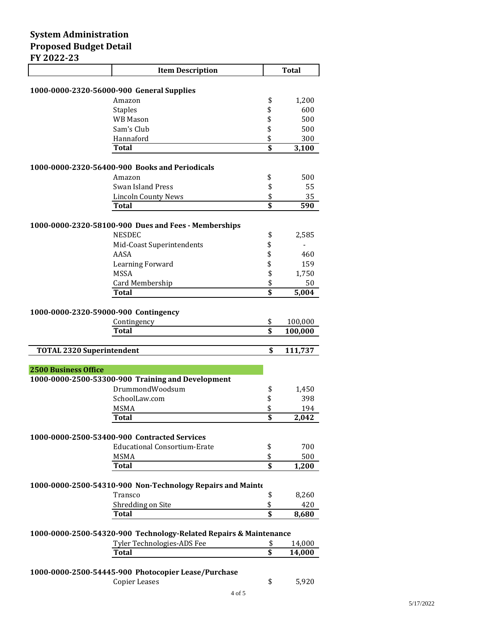| 1 <i>EVEE E</i> J                    | <b>Item Description</b>                                           |                         | <b>Total</b> |
|--------------------------------------|-------------------------------------------------------------------|-------------------------|--------------|
|                                      |                                                                   |                         |              |
|                                      | 1000-0000-2320-56000-900 General Supplies                         |                         |              |
|                                      | Amazon                                                            | \$                      | 1,200        |
|                                      | <b>Staples</b>                                                    | \$                      | 600          |
|                                      | <b>WB</b> Mason                                                   | \$                      | 500          |
|                                      | Sam's Club                                                        | \$                      | 500          |
|                                      | Hannaford                                                         | \$                      | 300          |
|                                      | <b>Total</b>                                                      | \$                      | 3,100        |
|                                      | 1000-0000-2320-56400-900 Books and Periodicals                    |                         |              |
|                                      | Amazon                                                            | \$                      | 500          |
|                                      | <b>Swan Island Press</b>                                          | \$                      | 55           |
|                                      | <b>Lincoln County News</b>                                        | \$                      | 35           |
|                                      | Total                                                             | $\overline{\mathbf{s}}$ | 590          |
|                                      | 1000-0000-2320-58100-900 Dues and Fees - Memberships              |                         |              |
|                                      | <b>NESDEC</b>                                                     | \$                      | 2,585        |
|                                      | Mid-Coast Superintendents                                         | \$                      |              |
|                                      | AASA                                                              | \$                      | 460          |
|                                      | Learning Forward                                                  | \$                      | 159          |
|                                      | <b>MSSA</b>                                                       | \$                      | 1,750        |
|                                      | Card Membership                                                   | \$                      | 50           |
|                                      | Total                                                             | $\overline{\mathbf{s}}$ | 5,004        |
|                                      |                                                                   |                         |              |
| 1000-0000-2320-59000-900 Contingency | Contingency                                                       | \$                      | 100,000      |
|                                      | <b>Total</b>                                                      | $\overline{\mathbf{s}}$ | 100,000      |
|                                      |                                                                   |                         |              |
| <b>TOTAL 2320 Superintendent</b>     |                                                                   | \$                      | 111,737      |
|                                      |                                                                   |                         |              |
| <b>2500 Business Office</b>          |                                                                   |                         |              |
|                                      | 1000-0000-2500-53300-900 Training and Development                 |                         |              |
|                                      | DrummondWoodsum                                                   | \$                      | 1,450        |
|                                      | SchoolLaw.com                                                     | \$                      | 398          |
|                                      | <b>MSMA</b>                                                       | \$                      | 194          |
|                                      | Total                                                             | \$                      | 2,042        |
|                                      | 1000-0000-2500-53400-900 Contracted Services                      |                         |              |
|                                      | <b>Educational Consortium-Erate</b>                               | \$                      | 700          |
|                                      | MSMA                                                              | \$                      | 500          |
|                                      | Total                                                             | \$                      | 1,200        |
|                                      |                                                                   |                         |              |
|                                      | 1000-0000-2500-54310-900 Non-Technology Repairs and Mainte        |                         |              |
|                                      | Transco                                                           | \$                      | 8,260        |
|                                      | Shredding on Site                                                 | \$                      | 420          |
|                                      | Total                                                             | \$                      | 8,680        |
|                                      | 1000-0000-2500-54320-900 Technology-Related Repairs & Maintenance |                         |              |
|                                      | Tyler Technologies-ADS Fee                                        | \$                      | 14,000       |
|                                      | <b>Total</b>                                                      | $\overline{\mathbf{s}}$ | 14,000       |

## **1000-0000-2500-54445-900 Photocopier Lease/Purchase**

Copier Leases  $\overline{\hspace{1.5cm}}$   $\overline{\hspace{1.5cm}}$   $\overline{\hspace{1.5cm}}$   $\overline{\hspace{1.5cm}}$   $\overline{\hspace{1.5cm}}$   $\overline{\hspace{1.5cm}}$   $\overline{\hspace{1.5cm}}$   $\overline{\hspace{1.5cm}}$   $\overline{\hspace{1.5cm}}$   $\overline{\hspace{1.5cm}}$   $\overline{\hspace{1.5cm}}$   $\overline{\hspace{1.5cm}}$   $\overline{\hspace{1.5cm}}$   $\overline{\hspace{1.5cm}}$